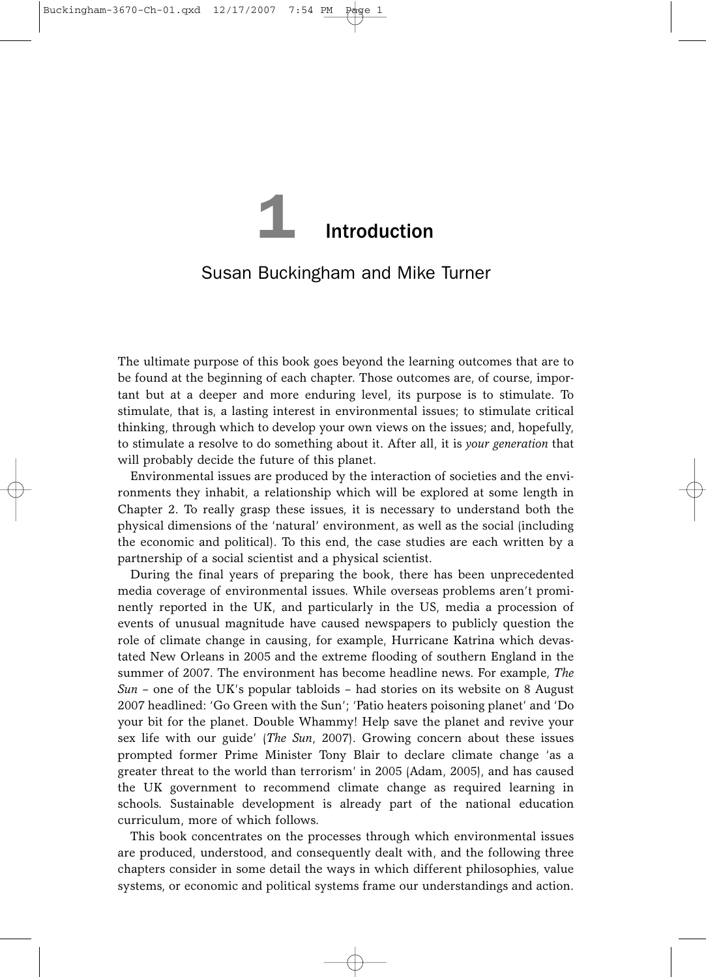# **Introduction**

# Susan Buckingham and Mike Turner

The ultimate purpose of this book goes beyond the learning outcomes that are to be found at the beginning of each chapter. Those outcomes are, of course, important but at a deeper and more enduring level, its purpose is to stimulate. To stimulate, that is, a lasting interest in environmental issues; to stimulate critical thinking, through which to develop your own views on the issues; and, hopefully, to stimulate a resolve to do something about it. After all, it is *your generation* that will probably decide the future of this planet.

Environmental issues are produced by the interaction of societies and the environments they inhabit, a relationship which will be explored at some length in Chapter 2. To really grasp these issues, it is necessary to understand both the physical dimensions of the 'natural' environment, as well as the social (including the economic and political). To this end, the case studies are each written by a partnership of a social scientist and a physical scientist.

During the final years of preparing the book, there has been unprecedented media coverage of environmental issues. While overseas problems aren't prominently reported in the UK, and particularly in the US, media a procession of events of unusual magnitude have caused newspapers to publicly question the role of climate change in causing, for example, Hurricane Katrina which devastated New Orleans in 2005 and the extreme flooding of southern England in the summer of 2007. The environment has become headline news. For example, *The Sun* – one of the UK's popular tabloids – had stories on its website on 8 August 2007 headlined: 'Go Green with the Sun'; 'Patio heaters poisoning planet' and 'Do your bit for the planet. Double Whammy! Help save the planet and revive your sex life with our guide' (*The Sun*, 2007). Growing concern about these issues prompted former Prime Minister Tony Blair to declare climate change 'as a greater threat to the world than terrorism' in 2005 (Adam, 2005), and has caused the UK government to recommend climate change as required learning in schools. Sustainable development is already part of the national education curriculum, more of which follows.

This book concentrates on the processes through which environmental issues are produced, understood, and consequently dealt with, and the following three chapters consider in some detail the ways in which different philosophies, value systems, or economic and political systems frame our understandings and action.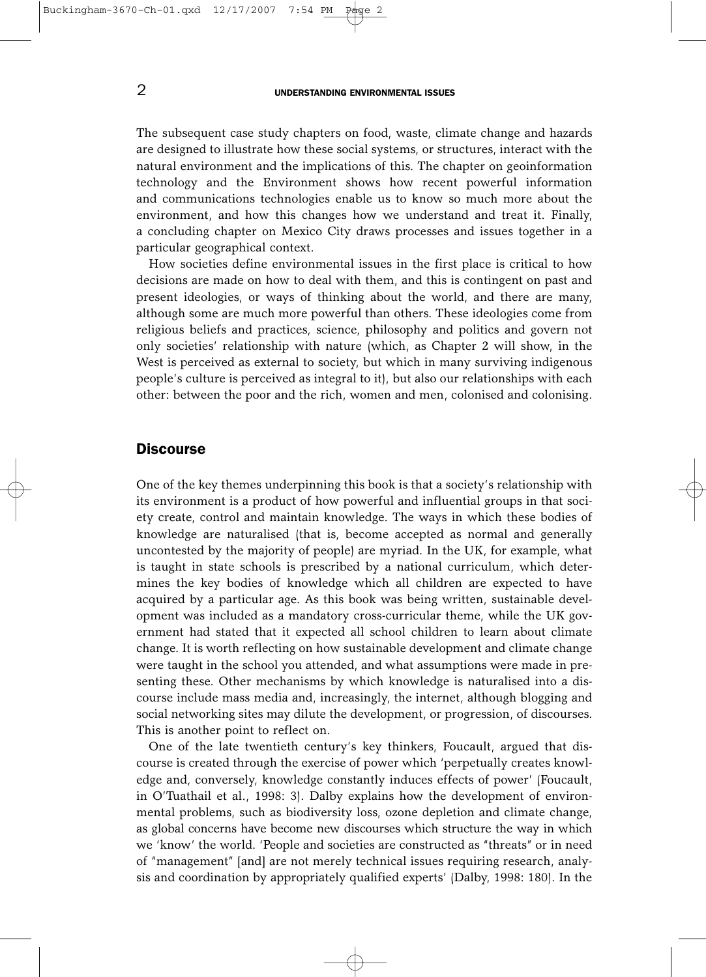# 2 UNDERSTANDING ENVIRONMENTAL ISSUES

The subsequent case study chapters on food, waste, climate change and hazards are designed to illustrate how these social systems, or structures, interact with the natural environment and the implications of this. The chapter on geoinformation technology and the Environment shows how recent powerful information and communications technologies enable us to know so much more about the environment, and how this changes how we understand and treat it. Finally, a concluding chapter on Mexico City draws processes and issues together in a particular geographical context.

How societies define environmental issues in the first place is critical to how decisions are made on how to deal with them, and this is contingent on past and present ideologies, or ways of thinking about the world, and there are many, although some are much more powerful than others. These ideologies come from religious beliefs and practices, science, philosophy and politics and govern not only societies' relationship with nature (which, as Chapter 2 will show, in the West is perceived as external to society, but which in many surviving indigenous people's culture is perceived as integral to it), but also our relationships with each other: between the poor and the rich, women and men, colonised and colonising.

#### **Discourse**

One of the key themes underpinning this book is that a society's relationship with its environment is a product of how powerful and influential groups in that society create, control and maintain knowledge. The ways in which these bodies of knowledge are naturalised (that is, become accepted as normal and generally uncontested by the majority of people) are myriad. In the UK, for example, what is taught in state schools is prescribed by a national curriculum, which determines the key bodies of knowledge which all children are expected to have acquired by a particular age. As this book was being written, sustainable development was included as a mandatory cross-curricular theme, while the UK government had stated that it expected all school children to learn about climate change. It is worth reflecting on how sustainable development and climate change were taught in the school you attended, and what assumptions were made in presenting these. Other mechanisms by which knowledge is naturalised into a discourse include mass media and, increasingly, the internet, although blogging and social networking sites may dilute the development, or progression, of discourses. This is another point to reflect on.

One of the late twentieth century's key thinkers, Foucault, argued that discourse is created through the exercise of power which 'perpetually creates knowledge and, conversely, knowledge constantly induces effects of power' (Foucault, in O'Tuathail et al., 1998: 3). Dalby explains how the development of environmental problems, such as biodiversity loss, ozone depletion and climate change, as global concerns have become new discourses which structure the way in which we 'know' the world. 'People and societies are constructed as "threats" or in need of "management" [and] are not merely technical issues requiring research, analysis and coordination by appropriately qualified experts' (Dalby, 1998: 180). In the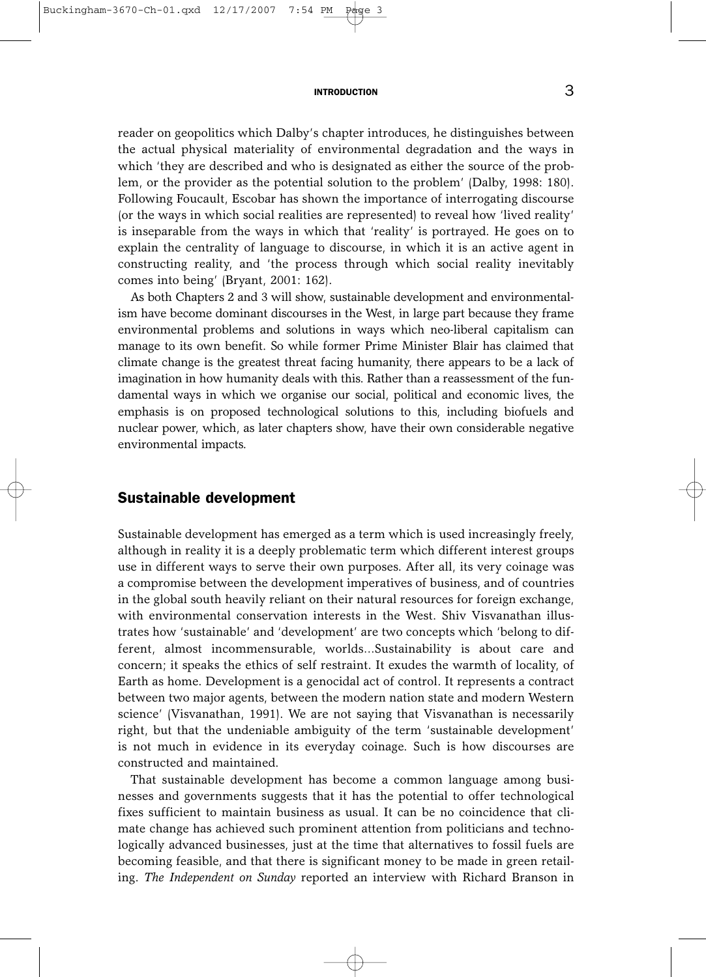#### INTRODUCTION 3

reader on geopolitics which Dalby's chapter introduces, he distinguishes between the actual physical materiality of environmental degradation and the ways in which 'they are described and who is designated as either the source of the problem, or the provider as the potential solution to the problem' (Dalby, 1998: 180). Following Foucault, Escobar has shown the importance of interrogating discourse (or the ways in which social realities are represented) to reveal how 'lived reality' is inseparable from the ways in which that 'reality' is portrayed. He goes on to explain the centrality of language to discourse, in which it is an active agent in constructing reality, and 'the process through which social reality inevitably comes into being' (Bryant, 2001: 162).

As both Chapters 2 and 3 will show, sustainable development and environmentalism have become dominant discourses in the West, in large part because they frame environmental problems and solutions in ways which neo-liberal capitalism can manage to its own benefit. So while former Prime Minister Blair has claimed that climate change is the greatest threat facing humanity, there appears to be a lack of imagination in how humanity deals with this. Rather than a reassessment of the fundamental ways in which we organise our social, political and economic lives, the emphasis is on proposed technological solutions to this, including biofuels and nuclear power, which, as later chapters show, have their own considerable negative environmental impacts.

## Sustainable development

Sustainable development has emerged as a term which is used increasingly freely, although in reality it is a deeply problematic term which different interest groups use in different ways to serve their own purposes. After all, its very coinage was a compromise between the development imperatives of business, and of countries in the global south heavily reliant on their natural resources for foreign exchange, with environmental conservation interests in the West. Shiv Visvanathan illustrates how 'sustainable' and 'development' are two concepts which 'belong to different, almost incommensurable, worlds…Sustainability is about care and concern; it speaks the ethics of self restraint. It exudes the warmth of locality, of Earth as home. Development is a genocidal act of control. It represents a contract between two major agents, between the modern nation state and modern Western science' (Visvanathan, 1991). We are not saying that Visvanathan is necessarily right, but that the undeniable ambiguity of the term 'sustainable development' is not much in evidence in its everyday coinage. Such is how discourses are constructed and maintained.

That sustainable development has become a common language among businesses and governments suggests that it has the potential to offer technological fixes sufficient to maintain business as usual. It can be no coincidence that climate change has achieved such prominent attention from politicians and technologically advanced businesses, just at the time that alternatives to fossil fuels are becoming feasible, and that there is significant money to be made in green retailing. *The Independent on Sunday* reported an interview with Richard Branson in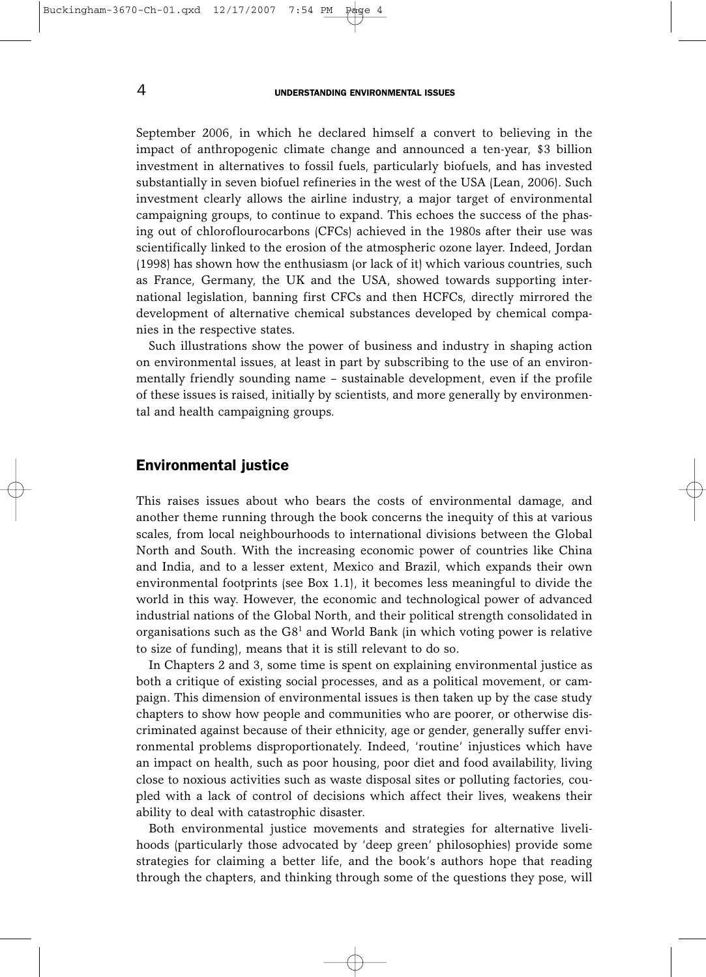# 4 UNDERSTANDING ENVIRONMENTAL ISSUES

September 2006, in which he declared himself a convert to believing in the impact of anthropogenic climate change and announced a ten-year, \$3 billion investment in alternatives to fossil fuels, particularly biofuels, and has invested substantially in seven biofuel refineries in the west of the USA (Lean, 2006). Such investment clearly allows the airline industry, a major target of environmental campaigning groups, to continue to expand. This echoes the success of the phasing out of chloroflourocarbons (CFCs) achieved in the 1980s after their use was scientifically linked to the erosion of the atmospheric ozone layer. Indeed, Jordan (1998) has shown how the enthusiasm (or lack of it) which various countries, such as France, Germany, the UK and the USA, showed towards supporting international legislation, banning first CFCs and then HCFCs, directly mirrored the development of alternative chemical substances developed by chemical companies in the respective states.

Such illustrations show the power of business and industry in shaping action on environmental issues, at least in part by subscribing to the use of an environmentally friendly sounding name – sustainable development, even if the profile of these issues is raised, initially by scientists, and more generally by environmental and health campaigning groups.

# Environmental justice

This raises issues about who bears the costs of environmental damage, and another theme running through the book concerns the inequity of this at various scales, from local neighbourhoods to international divisions between the Global North and South. With the increasing economic power of countries like China and India, and to a lesser extent, Mexico and Brazil, which expands their own environmental footprints (see Box 1.1), it becomes less meaningful to divide the world in this way. However, the economic and technological power of advanced industrial nations of the Global North, and their political strength consolidated in organisations such as the  $G8<sup>1</sup>$  and World Bank (in which voting power is relative to size of funding), means that it is still relevant to do so.

In Chapters 2 and 3, some time is spent on explaining environmental justice as both a critique of existing social processes, and as a political movement, or campaign. This dimension of environmental issues is then taken up by the case study chapters to show how people and communities who are poorer, or otherwise discriminated against because of their ethnicity, age or gender, generally suffer environmental problems disproportionately. Indeed, 'routine' injustices which have an impact on health, such as poor housing, poor diet and food availability, living close to noxious activities such as waste disposal sites or polluting factories, coupled with a lack of control of decisions which affect their lives, weakens their ability to deal with catastrophic disaster.

Both environmental justice movements and strategies for alternative livelihoods (particularly those advocated by 'deep green' philosophies) provide some strategies for claiming a better life, and the book's authors hope that reading through the chapters, and thinking through some of the questions they pose, will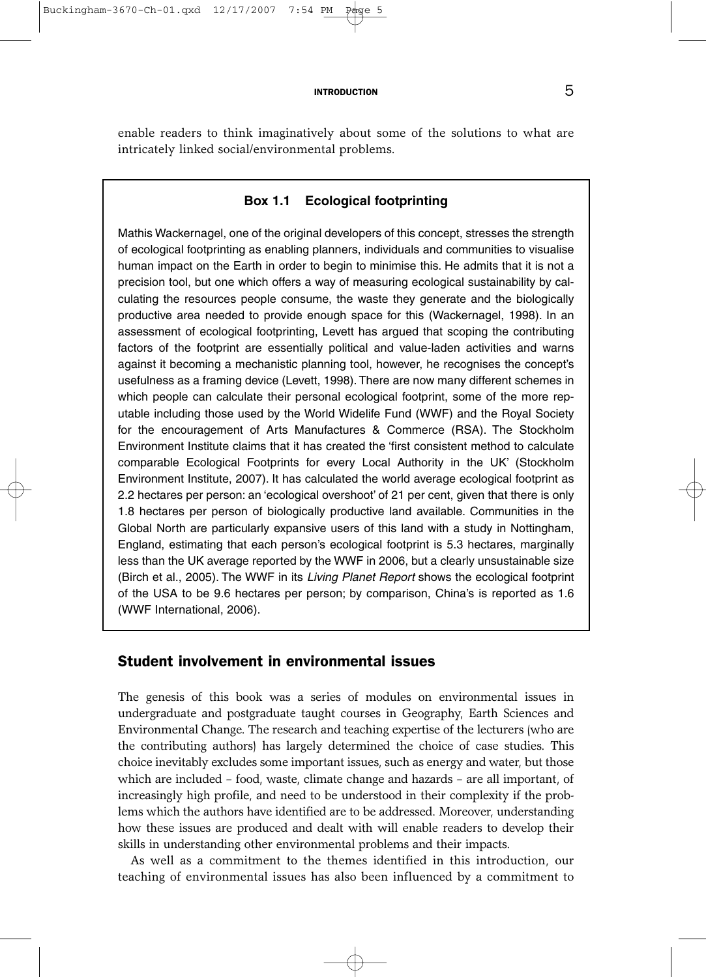INTRODUCTION 5

enable readers to think imaginatively about some of the solutions to what are intricately linked social/environmental problems.

#### **Box 1.1 Ecological footprinting**

Mathis Wackernagel, one of the original developers of this concept, stresses the strength of ecological footprinting as enabling planners, individuals and communities to visualise human impact on the Earth in order to begin to minimise this. He admits that it is not a precision tool, but one which offers a way of measuring ecological sustainability by calculating the resources people consume, the waste they generate and the biologically productive area needed to provide enough space for this (Wackernagel, 1998). In an assessment of ecological footprinting, Levett has argued that scoping the contributing factors of the footprint are essentially political and value-laden activities and warns against it becoming a mechanistic planning tool, however, he recognises the concept's usefulness as a framing device (Levett, 1998). There are now many different schemes in which people can calculate their personal ecological footprint, some of the more reputable including those used by the World Widelife Fund (WWF) and the Royal Society for the encouragement of Arts Manufactures & Commerce (RSA). The Stockholm Environment Institute claims that it has created the 'first consistent method to calculate comparable Ecological Footprints for every Local Authority in the UK' (Stockholm Environment Institute, 2007). It has calculated the world average ecological footprint as 2.2 hectares per person: an 'ecological overshoot' of 21 per cent, given that there is only 1.8 hectares per person of biologically productive land available. Communities in the Global North are particularly expansive users of this land with a study in Nottingham, England, estimating that each person's ecological footprint is 5.3 hectares, marginally less than the UK average reported by the WWF in 2006, but a clearly unsustainable size (Birch et al., 2005). The WWF in its Living Planet Report shows the ecological footprint of the USA to be 9.6 hectares per person; by comparison, China's is reported as 1.6 (WWF International, 2006).

# Student involvement in environmental issues

The genesis of this book was a series of modules on environmental issues in undergraduate and postgraduate taught courses in Geography, Earth Sciences and Environmental Change. The research and teaching expertise of the lecturers (who are the contributing authors) has largely determined the choice of case studies. This choice inevitably excludes some important issues, such as energy and water, but those which are included – food, waste, climate change and hazards – are all important, of increasingly high profile, and need to be understood in their complexity if the problems which the authors have identified are to be addressed. Moreover, understanding how these issues are produced and dealt with will enable readers to develop their skills in understanding other environmental problems and their impacts.

As well as a commitment to the themes identified in this introduction, our teaching of environmental issues has also been influenced by a commitment to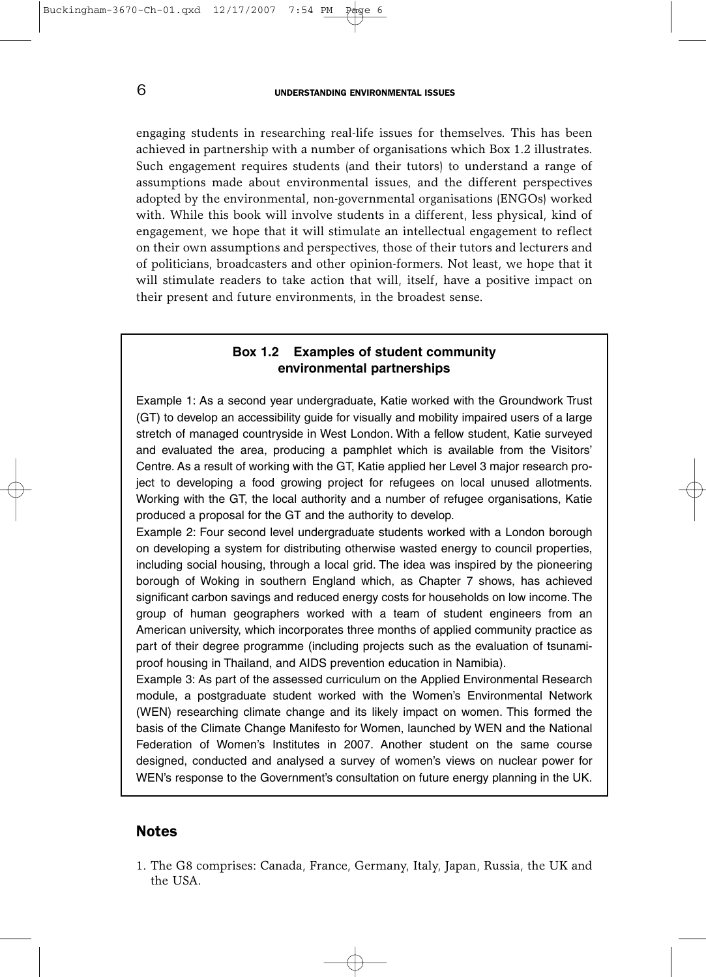# 6 UNDERSTANDING ENVIRONMENTAL ISSUES

engaging students in researching real-life issues for themselves. This has been achieved in partnership with a number of organisations which Box 1.2 illustrates. Such engagement requires students (and their tutors) to understand a range of assumptions made about environmental issues, and the different perspectives adopted by the environmental, non-governmental organisations (ENGOs) worked with. While this book will involve students in a different, less physical, kind of engagement, we hope that it will stimulate an intellectual engagement to reflect on their own assumptions and perspectives, those of their tutors and lecturers and of politicians, broadcasters and other opinion-formers. Not least, we hope that it will stimulate readers to take action that will, itself, have a positive impact on their present and future environments, in the broadest sense.

# **Box 1.2 Examples of student community environmental partnerships**

Example 1: As a second year undergraduate, Katie worked with the Groundwork Trust (GT) to develop an accessibility guide for visually and mobility impaired users of a large stretch of managed countryside in West London. With a fellow student, Katie surveyed and evaluated the area, producing a pamphlet which is available from the Visitors' Centre. As a result of working with the GT, Katie applied her Level 3 major research project to developing a food growing project for refugees on local unused allotments. Working with the GT, the local authority and a number of refugee organisations, Katie produced a proposal for the GT and the authority to develop.

Example 2: Four second level undergraduate students worked with a London borough on developing a system for distributing otherwise wasted energy to council properties, including social housing, through a local grid. The idea was inspired by the pioneering borough of Woking in southern England which, as Chapter 7 shows, has achieved significant carbon savings and reduced energy costs for households on low income. The group of human geographers worked with a team of student engineers from an American university, which incorporates three months of applied community practice as part of their degree programme (including projects such as the evaluation of tsunamiproof housing in Thailand, and AIDS prevention education in Namibia).

Example 3: As part of the assessed curriculum on the Applied Environmental Research module, a postgraduate student worked with the Women's Environmental Network (WEN) researching climate change and its likely impact on women. This formed the basis of the Climate Change Manifesto for Women, launched by WEN and the National Federation of Women's Institutes in 2007. Another student on the same course designed, conducted and analysed a survey of women's views on nuclear power for WEN's response to the Government's consultation on future energy planning in the UK.

# Notes

1. The G8 comprises: Canada, France, Germany, Italy, Japan, Russia, the UK and the USA.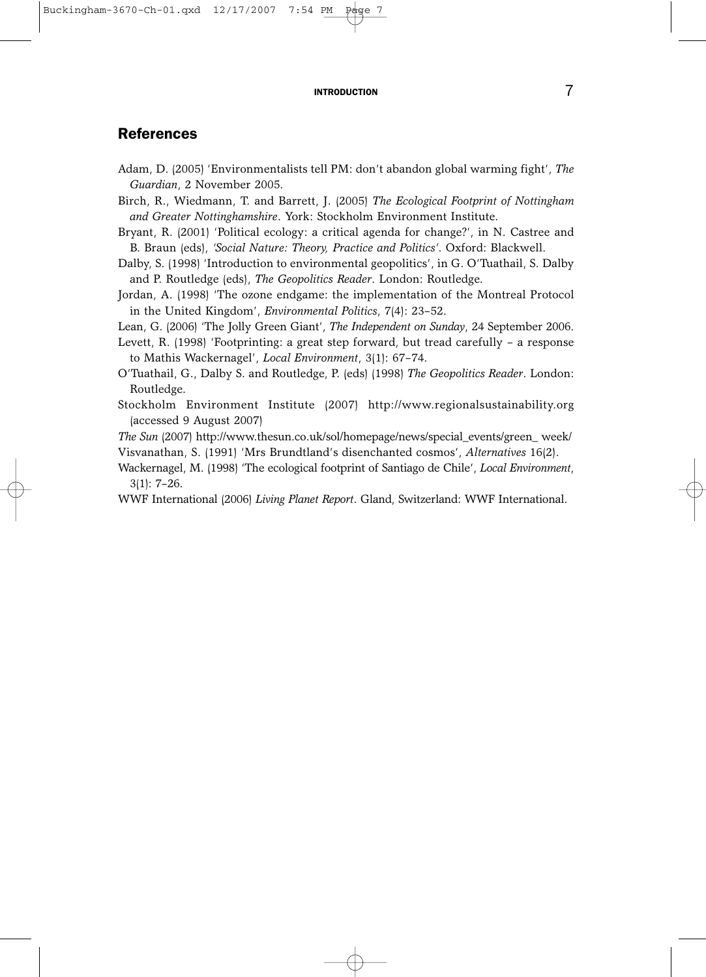#### INTRODUCTION 7

#### References

- Adam, D. (2005) 'Environmentalists tell PM: don't abandon global warming fight', *The Guardian*, 2 November 2005.
- Birch, R., Wiedmann, T. and Barrett, J. (2005) *The Ecological Footprint of Nottingham and Greater Nottinghamshire*. York: Stockholm Environment Institute.
- Bryant, R. (2001) 'Political ecology: a critical agenda for change?', in N. Castree and B. Braun (eds), *'Social Nature: Theory, Practice and Politics'*. Oxford: Blackwell.
- Dalby, S. (1998) 'Introduction to environmental geopolitics', in G. O'Tuathail, S. Dalby and P. Routledge (eds), *The Geopolitics Reader*. London: Routledge.
- Jordan, A. (1998) 'The ozone endgame: the implementation of the Montreal Protocol in the United Kingdom', *Environmental Politics*, 7(4): 23–52.

Lean, G. (2006) 'The Jolly Green Giant', *The Independent on Sunday*, 24 September 2006.

Levett, R. (1998) 'Footprinting: a great step forward, but tread carefully – a response to Mathis Wackernagel', *Local Environment*, 3(1): 67–74.

- O'Tuathail, G., Dalby S. and Routledge, P. (eds) (1998) *The Geopolitics Reader*. London: Routledge.
- Stockholm Environment Institute (2007) http://www.regionalsustainability.org (accessed 9 August 2007)

*The Sun* (2007) http://www.thesun.co.uk/sol/homepage/news/special\_events/green\_ week/ Visvanathan, S. (1991) 'Mrs Brundtland's disenchanted cosmos', *Alternatives* 16(2).

Wackernagel, M. (1998) 'The ecological footprint of Santiago de Chile', *Local Environment*, 3(1): 7–26.

WWF International (2006) *Living Planet Report*. Gland, Switzerland: WWF International.